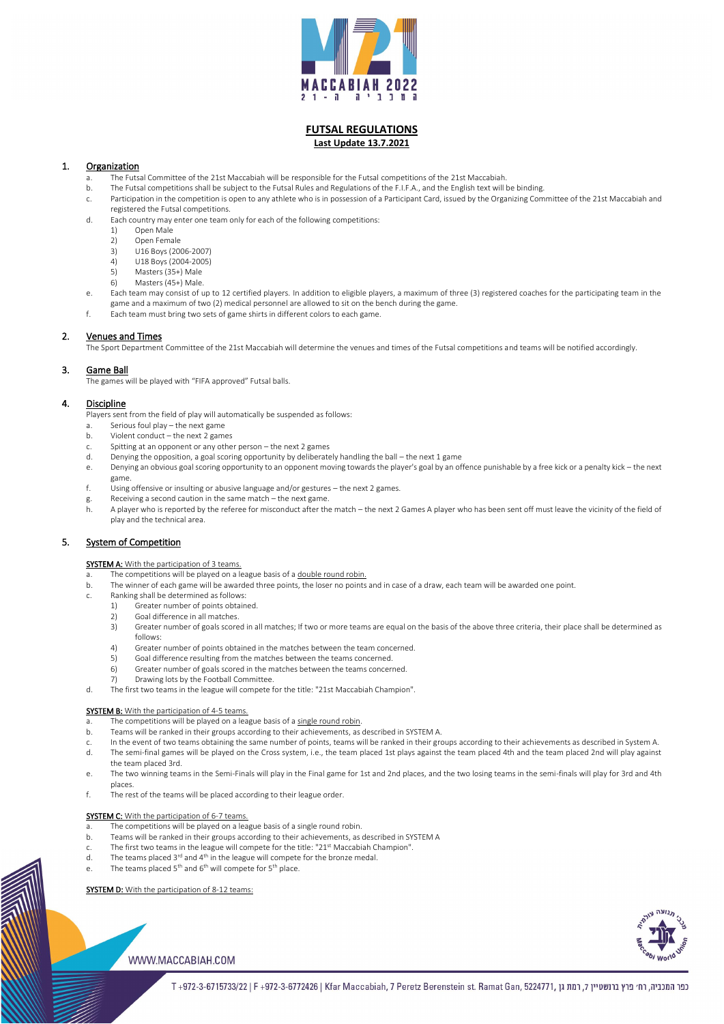

# **FUTSAL REGULATIONS Last Update 13.7.2021**

# 1. Organization

- a. The Futsal Committee of the 21st Maccabiah will be responsible for the Futsal competitions of the 21st Maccabiah.
- b. The Futsal competitions shall be subject to the Futsal Rules and Regulations of the F.I.F.A., and the English text will be binding.
- c. Participation in the competition is open to any athlete who is in possession of a Participant Card, issued by the Organizing Committee of the 21st Maccabiah and registered the Futsal competitions.
- d. Each country may enter one team only for each of the following competitions:
	- 1) Open Male
	- 2) Open Female
	- 3) U16 Boys (2006-2007)
	- 4) U18 Boys (2004-2005)
	- 5) Masters (35+) Male
	- 6) Masters (45+) Male.
- e. Each team may consist of up to 12 certified players. In addition to eligible players, a maximum of three (3) registered coaches for the participating team in the game and a maximum of two (2) medical personnel are allowed to sit on the bench during the game.
- f. Each team must bring two sets of game shirts in different colors to each game.

# 2. Venues and Times

The Sport Department Committee of the 21st Maccabiah will determine the venues and times of the Futsal competitions and teams will be notified accordingly.

# 3. Game Ball

The games will be played with "FIFA approved" Futsal balls.

## 4. Discipline

Players sent from the field of play will automatically be suspended as follows:

- a. The competitions will be played on a league basis of a double round robin.
- b. The winner of each game will be awarded three points, the loser no points and in case of a draw, each team will be awarded one point.
- c. Ranking shall be determined as follows:
	- 1) Greater number of points obtained.
	- 2) Goal difference in all matches.
	- 3) Greater number of goals scored in all matches; If two or more teams are equal on the basis of the above three criteria, their place shall be determined as follows:
	- 4) Greater number of points obtained in the matches between the team concerned.
	- 5) Goal difference resulting from the matches between the teams concerned.
	- 6) Greater number of goals scored in the matches between the teams concerned.
	- 7) Drawing lots by the Football Committee.
- d. The first two teams in the league will compete for the title: "21st Maccabiah Champion".

#### **SYSTEM B:** With the participation of 4-5 teams.

- a. Serious foul play the next game
- b. Violent conduct the next 2 games
- c. Spitting at an opponent or any other person the next 2 games
- d. Denying the opposition, a goal scoring opportunity by deliberately handling the ball the next 1 game
- e. Denying an obvious goal scoring opportunity to an opponent moving towards the player's goal by an offence punishable by a free kick or a penalty kick the next game.
- f. Using offensive or insulting or abusive language and/or gestures the next 2 games.
- g. Receiving a second caution in the same match the next game.
- h. A player who is reported by the referee for misconduct after the match the next 2 Games A player who has been sent off must leave the vicinity of the field of play and the technical area.

## 5. System of Competition

## **SYSTEM A:** With the participation of 3 teams.

- a. The competitions will be played on a league basis of a single round robin.
- b. Teams will be ranked in their groups according to their achievements, as described in SYSTEM A.
- c. In the event of two teams obtaining the same number of points, teams will be ranked in their groups according to their achievements as described in System A.
- d. The semi-final games will be played on the Cross system, i.e., the team placed 1st plays against the team placed 4th and the team placed 2nd will play against the team placed 3rd.
- 
- The two winning teams in the Semi-Finals will play in the Final game for 1st and 2nd places, and the two losing teams in the semi-finals will play for 3rd and 4th places.
- f. The rest of the teams will be placed according to their league order.

#### **SYSTEM C:** With the participation of 6-7 teams.

- a. The competitions will be played on a league basis of a single round robin.
- b. Teams will be ranked in their groups according to their achievements, as described in SYSTEM A
- c. The first two teams in the league will compete for the title: "21<sup>st</sup> Maccabiah Champion".
- d. The teams placed  $3^{rd}$  and  $4^{th}$  in the league will compete for the bronze medal.
- e. The teams placed  $5^{th}$  and  $6^{th}$  will compete for  $5^{th}$  place.

#### SYSTEM D: With the participation of 8-12 teams:



## WWW.MACCABIAH.COM

כפר המכביה, רח׳ פרץ ברנשטיין 7, רמת גן ,072-14271, T+972-3-6715733/22 | F+972-3-6772426 | Kfar Maccabiah, 7 Peretz Berenstein st. Ramat Gan, 5224771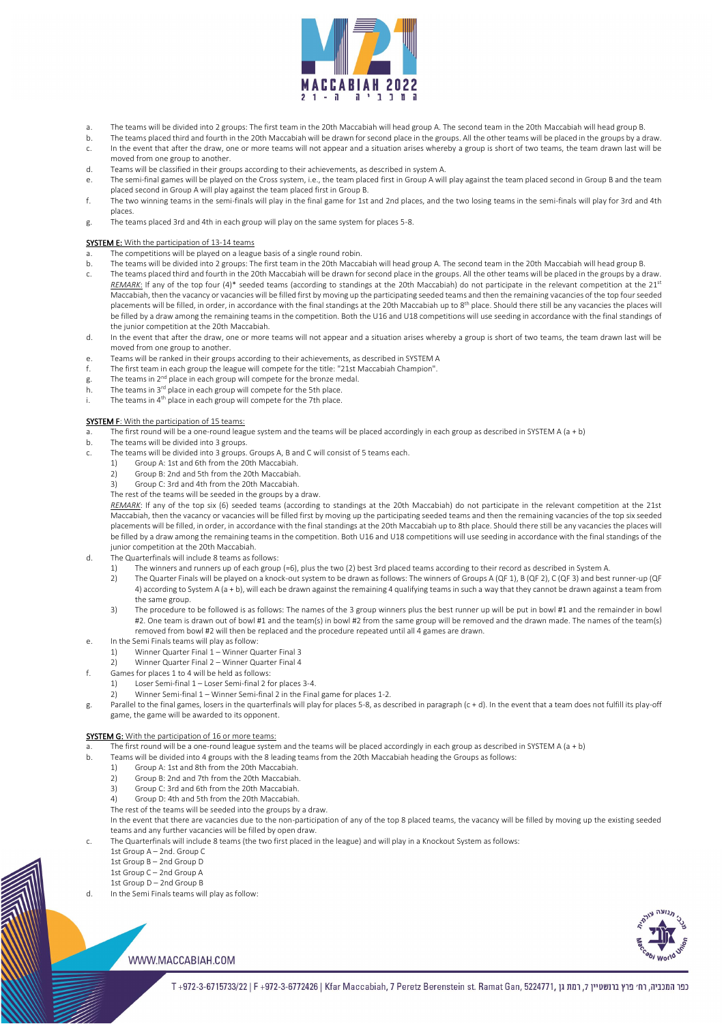

- a. The teams will be divided into 2 groups: The first team in the 20th Maccabiah will head group A. The second team in the 20th Maccabiah will head group B.
- b. The teams placed third and fourth in the 20th Maccabiah will be drawn for second place in the groups. All the other teams will be placed in the groups by a draw.
- c. In the event that after the draw, one or more teams will not appear and a situation arises whereby a group is short of two teams, the team drawn last will be moved from one group to another.
- d. Teams will be classified in their groups according to their achievements, as described in system A.
- e. The semi-final games will be played on the Cross system, i.e., the team placed first in Group A will play against the team placed second in Group B and the team placed second in Group A will play against the team placed first in Group B.
- f. The two winning teams in the semi-finals will play in the final game for 1st and 2nd places, and the two losing teams in the semi-finals will play for 3rd and 4th places.
- g. The teams placed 3rd and 4th in each group will play on the same system for places 5-8.

- a. The competitions will be played on a league basis of a single round robin.
- b. The teams will be divided into 2 groups: The first team in the 20th Maccabiah will head group A. The second team in the 20th Maccabiah will head group B.
- c. The teams placed third and fourth in the 20th Maccabiah will be drawn for second place in the groups. All the other teams will be placed in the groups by a draw. REMARK: If any of the top four (4)\* seeded teams (according to standings at the 20th Maccabiah) do not participate in the relevant competition at the 21<sup>st</sup> Maccabiah, then the vacancy or vacancies will be filled first by moving up the participating seeded teams and then the remaining vacancies of the top four seeded placements will be filled, in order, in accordance with the final standings at the 20th Maccabiah up to 8<sup>th</sup> place. Should there still be any vacancies the places will be filled by a draw among the remaining teams in the competition. Both the U16 and U18 competitions will use seeding in accordance with the final standings of the junior competition at the 20th Maccabiah.
- d. In the event that after the draw, one or more teams will not appear and a situation arises whereby a group is short of two teams, the team drawn last will be moved from one group to another.
- e. Teams will be ranked in their groups according to their achievements, as described in SYSTEM A
- f. The first team in each group the league will compete for the title: "21st Maccabiah Champion".
- g. The teams in  $2^{nd}$  place in each group will compete for the bronze medal.
- h. The teams in  $3<sup>rd</sup>$  place in each group will compete for the 5th place.
- i. The teams in  $4<sup>th</sup>$  place in each group will compete for the 7th place.

## SYSTEM F: With the participation of 15 teams:

### SYSTEM E: With the participation of 13-14 teams

- a. The first round will be a one-round league system and the teams will be placed accordingly in each group as described in SYSTEM A (a + b)
- b. The teams will be divided into 3 groups.
- c. The teams will be divided into 3 groups. Groups A, B and C will consist of 5 teams each.
	- 1) Group A: 1st and 6th from the 20th Maccabiah.
	- 2) Group B: 2nd and 5th from the 20th Maccabiah.
	- 3) Group C: 3rd and 4th from the 20th Maccabiah.

In the event that there are vacancies due to the non-participation of any of the top 8 placed teams, the vacancy will be filled by moving up the existing seeded teams and any further vacancies will be filled by open draw.

The rest of the teams will be seeded in the groups by a draw.

*REMARK*: If any of the top six (6) seeded teams (according to standings at the 20th Maccabiah) do not participate in the relevant competition at the 21st Maccabiah, then the vacancy or vacancies will be filled first by moving up the participating seeded teams and then the remaining vacancies of the top six seeded placements will be filled, in order, in accordance with the final standings at the 20th Maccabiah up to 8th place. Should there still be any vacancies the places will be filled by a draw among the remaining teams in the competition. Both U16 and U18 competitions will use seeding in accordance with the final standings of the junior competition at the 20th Maccabiah.

- d. The Quarterfinals will include 8 teams as follows:
	- 1) The winners and runners up of each group (=6), plus the two (2) best 3rd placed teams according to their record as described in System A.
	- 2) The Quarter Finals will be played on a knock-out system to be drawn as follows: The winners of Groups A (QF 1), B (QF 2), C (QF 3) and best runner-up (QF 4) according to System A (a + b), will each be drawn against the remaining 4 qualifying teams in such a way that they cannot be drawn against a team from the same group.
	- 3) The procedure to be followed is as follows: The names of the 3 group winners plus the best runner up will be put in bowl #1 and the remainder in bowl #2. One team is drawn out of bowl #1 and the team(s) in bowl #2 from the same group will be removed and the drawn made. The names of the team(s) removed from bowl #2 will then be replaced and the procedure repeated until all 4 games are drawn.
- e. In the Semi Finals teams will play as follow:
	- 1) Winner Quarter Final 1 Winner Quarter Final 3
	- 2) Winner Quarter Final 2 Winner Quarter Final 4
- f. Games for places 1 to 4 will be held as follows:
	- 1) Loser Semi-final 1 Loser Semi-final 2 for places 3-4.
	- 2) Winner Semi-final 1 Winner Semi-final 2 in the Final game for places 1-2.
- g. Parallel to the final games, losers in the quarterfinals will play for places 5-8, as described in paragraph (c + d). In the event that a team does not fulfill its play-off game, the game will be awarded to its opponent.

#### **SYSTEM G:** With the participation of 16 or more teams:

- a. The first round will be a one-round league system and the teams will be placed accordingly in each group as described in SYSTEM A (a + b)
- b. Teams will be divided into 4 groups with the 8 leading teams from the 20th Maccabiah heading the Groups as follows:
- 1) Group A: 1st and 8th from the 20th Maccabiah.
	- 2) Group B: 2nd and 7th from the 20th Maccabiah.
	- 3) Group C: 3rd and 6th from the 20th Maccabiah.
	- 4) Group D: 4th and 5th from the 20th Maccabiah.
	- The rest of the teams will be seeded into the groups by a draw.

- c. The Quarterfinals will include 8 teams (the two first placed in the league) and will play in a Knockout System as follows:
	- 1st Group A 2nd. Group C
	- 1st Group B 2nd Group D
	- 1st Group C 2nd Group A
	- 1st Group D 2nd Group B
- d. In the Semi Finals teams will play as follow:



# WWW.MACCABIAH.COM

כפר המכביה, רח׳ פרץ ברנשטיין 7, רמת גן ,072-14271, T+972-3-6715733/22 | F+972-3-6772426 | Kfar Maccabiah, 7 Peretz Berenstein st. Ramat Gan, 5224771